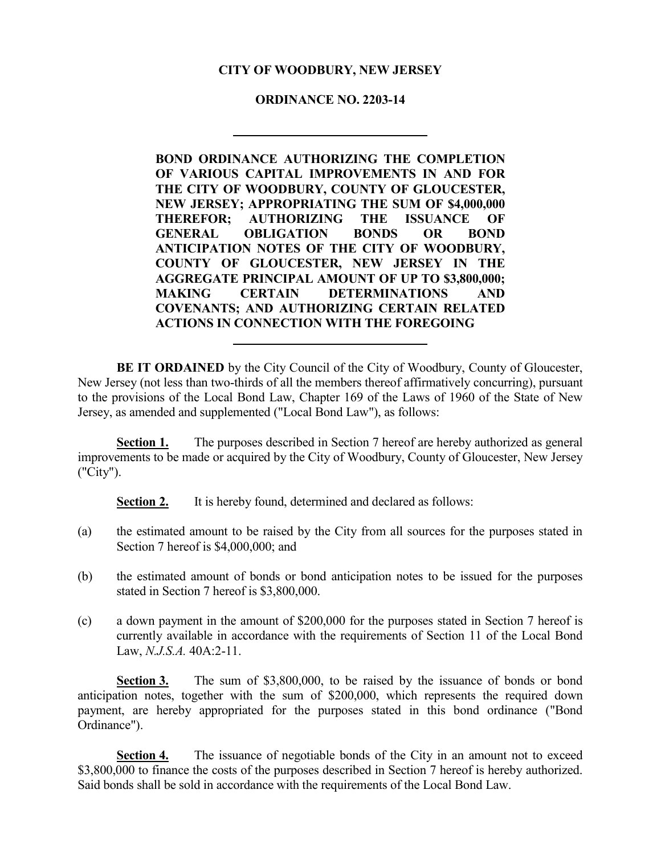# **CITY OF WOODBURY, NEW JERSEY**

## **ORDINANCE NO. 2203-14**

**BOND ORDINANCE AUTHORIZING THE COMPLETION OF VARIOUS CAPITAL IMPROVEMENTS IN AND FOR THE CITY OF WOODBURY, COUNTY OF GLOUCESTER, NEW JERSEY; APPROPRIATING THE SUM OF \$4,000,000 THEREFOR; AUTHORIZING THE ISSUANCE OF GENERAL OBLIGATION BONDS OR BOND ANTICIPATION NOTES OF THE CITY OF WOODBURY, COUNTY OF GLOUCESTER, NEW JERSEY IN THE AGGREGATE PRINCIPAL AMOUNT OF UP TO \$3,800,000; MAKING CERTAIN DETERMINATIONS AND COVENANTS; AND AUTHORIZING CERTAIN RELATED ACTIONS IN CONNECTION WITH THE FOREGOING**

**BE IT ORDAINED** by the City Council of the City of Woodbury, County of Gloucester, New Jersey (not less than two-thirds of all the members thereof affirmatively concurring), pursuant to the provisions of the Local Bond Law, Chapter 169 of the Laws of 1960 of the State of New Jersey, as amended and supplemented ("Local Bond Law"), as follows:

**Section 1.** The purposes described in Section 7 hereof are hereby authorized as general improvements to be made or acquired by the City of Woodbury, County of Gloucester, New Jersey ("City").

**Section 2.** It is hereby found, determined and declared as follows:

- (a) the estimated amount to be raised by the City from all sources for the purposes stated in Section 7 hereof is \$4,000,000; and
- (b) the estimated amount of bonds or bond anticipation notes to be issued for the purposes stated in Section 7 hereof is \$3,800,000.
- (c) a down payment in the amount of \$200,000 for the purposes stated in Section 7 hereof is currently available in accordance with the requirements of Section 11 of the Local Bond Law, *N.J.S.A.* 40A:2-11.

**Section 3.** The sum of \$3,800,000, to be raised by the issuance of bonds or bond anticipation notes, together with the sum of \$200,000, which represents the required down payment, are hereby appropriated for the purposes stated in this bond ordinance ("Bond Ordinance").

**Section 4.** The issuance of negotiable bonds of the City in an amount not to exceed \$3,800,000 to finance the costs of the purposes described in Section 7 hereof is hereby authorized. Said bonds shall be sold in accordance with the requirements of the Local Bond Law.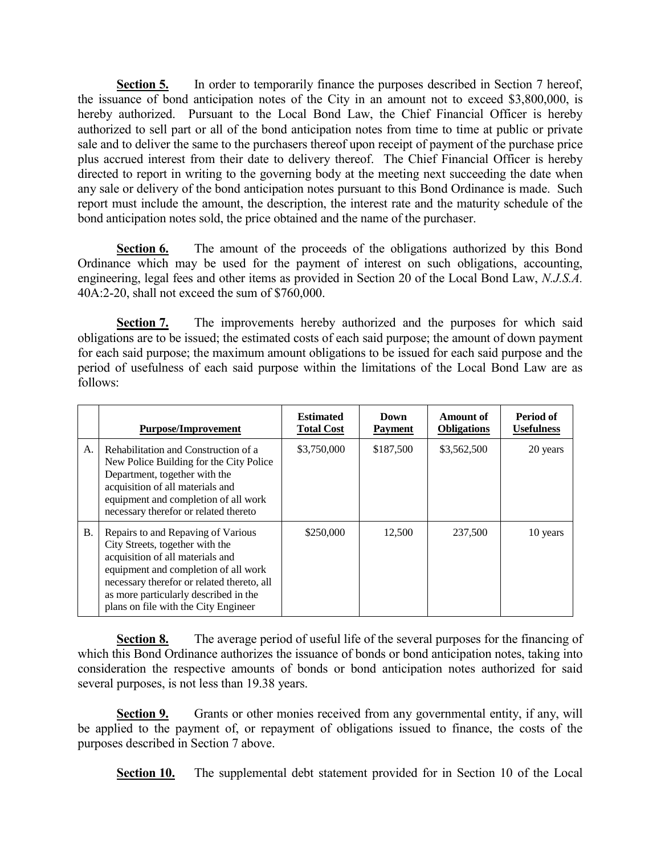**Section 5.** In order to temporarily finance the purposes described in Section 7 hereof, the issuance of bond anticipation notes of the City in an amount not to exceed \$3,800,000, is hereby authorized. Pursuant to the Local Bond Law, the Chief Financial Officer is hereby authorized to sell part or all of the bond anticipation notes from time to time at public or private sale and to deliver the same to the purchasers thereof upon receipt of payment of the purchase price plus accrued interest from their date to delivery thereof. The Chief Financial Officer is hereby directed to report in writing to the governing body at the meeting next succeeding the date when any sale or delivery of the bond anticipation notes pursuant to this Bond Ordinance is made. Such report must include the amount, the description, the interest rate and the maturity schedule of the bond anticipation notes sold, the price obtained and the name of the purchaser.

**Section 6.** The amount of the proceeds of the obligations authorized by this Bond Ordinance which may be used for the payment of interest on such obligations, accounting, engineering, legal fees and other items as provided in Section 20 of the Local Bond Law, *N.J.S.A.* 40A:2-20, shall not exceed the sum of \$760,000.

**Section 7.** The improvements hereby authorized and the purposes for which said obligations are to be issued; the estimated costs of each said purpose; the amount of down payment for each said purpose; the maximum amount obligations to be issued for each said purpose and the period of usefulness of each said purpose within the limitations of the Local Bond Law are as follows:

|    | <b>Purpose/Improvement</b>                                                                                                                                                                                                                                                       | <b>Estimated</b><br><b>Total Cost</b> | Down<br><b>Payment</b> | Amount of<br><b>Obligations</b> | Period of<br><b>Usefulness</b> |
|----|----------------------------------------------------------------------------------------------------------------------------------------------------------------------------------------------------------------------------------------------------------------------------------|---------------------------------------|------------------------|---------------------------------|--------------------------------|
| А. | Rehabilitation and Construction of a<br>New Police Building for the City Police<br>Department, together with the<br>acquisition of all materials and<br>equipment and completion of all work<br>necessary therefor or related thereto                                            | \$3,750,000                           | \$187,500              | \$3,562,500                     | 20 years                       |
| В. | Repairs to and Repaving of Various<br>City Streets, together with the<br>acquisition of all materials and<br>equipment and completion of all work<br>necessary therefor or related thereto, all<br>as more particularly described in the<br>plans on file with the City Engineer | \$250,000                             | 12,500                 | 237,500                         | 10 years                       |

**Section 8.** The average period of useful life of the several purposes for the financing of which this Bond Ordinance authorizes the issuance of bonds or bond anticipation notes, taking into consideration the respective amounts of bonds or bond anticipation notes authorized for said several purposes, is not less than 19.38 years.

**Section 9.** Grants or other monies received from any governmental entity, if any, will be applied to the payment of, or repayment of obligations issued to finance, the costs of the purposes described in Section 7 above.

**Section 10.** The supplemental debt statement provided for in Section 10 of the Local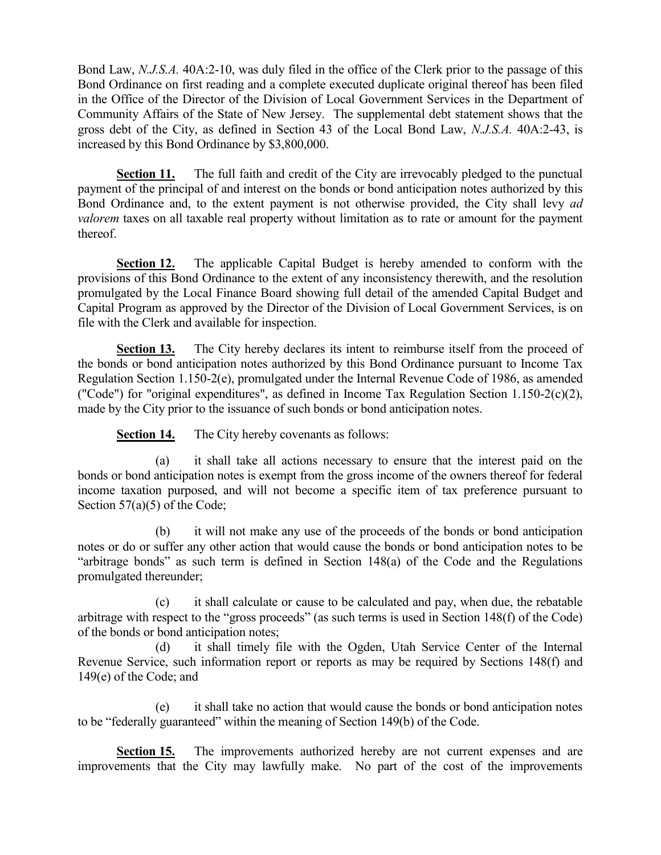Bond Law, *N.J.S.A.* 40A:2-10, was duly filed in the office of the Clerk prior to the passage of this Bond Ordinance on first reading and a complete executed duplicate original thereof has been filed in the Office of the Director of the Division of Local Government Services in the Department of Community Affairs of the State of New Jersey. The supplemental debt statement shows that the gross debt of the City, as defined in Section 43 of the Local Bond Law, *N.J.S.A.* 40A:2-43, is increased by this Bond Ordinance by \$3,800,000.

**Section 11.** The full faith and credit of the City are irrevocably pledged to the punctual payment of the principal of and interest on the bonds or bond anticipation notes authorized by this Bond Ordinance and, to the extent payment is not otherwise provided, the City shall levy *ad valorem* taxes on all taxable real property without limitation as to rate or amount for the payment thereof.

**Section 12.** The applicable Capital Budget is hereby amended to conform with the provisions of this Bond Ordinance to the extent of any inconsistency therewith, and the resolution promulgated by the Local Finance Board showing full detail of the amended Capital Budget and Capital Program as approved by the Director of the Division of Local Government Services, is on file with the Clerk and available for inspection.

**Section 13.** The City hereby declares its intent to reimburse itself from the proceed of the bonds or bond anticipation notes authorized by this Bond Ordinance pursuant to Income Tax Regulation Section 1.150-2(e), promulgated under the Internal Revenue Code of 1986, as amended ("Code") for "original expenditures", as defined in Income Tax Regulation Section 1.150-2(c)(2), made by the City prior to the issuance of such bonds or bond anticipation notes.

**Section 14.** The City hereby covenants as follows:

(a) it shall take all actions necessary to ensure that the interest paid on the bonds or bond anticipation notes is exempt from the gross income of the owners thereof for federal income taxation purposed, and will not become a specific item of tax preference pursuant to Section 57(a)(5) of the Code;

(b) it will not make any use of the proceeds of the bonds or bond anticipation notes or do or suffer any other action that would cause the bonds or bond anticipation notes to be "arbitrage bonds" as such term is defined in Section 148(a) of the Code and the Regulations promulgated thereunder;

(c) it shall calculate or cause to be calculated and pay, when due, the rebatable arbitrage with respect to the "gross proceeds" (as such terms is used in Section 148(f) of the Code) of the bonds or bond anticipation notes;

(d) it shall timely file with the Ogden, Utah Service Center of the Internal Revenue Service, such information report or reports as may be required by Sections 148(f) and 149(e) of the Code; and

(e) it shall take no action that would cause the bonds or bond anticipation notes to be "federally guaranteed" within the meaning of Section 149(b) of the Code.

**Section 15.** The improvements authorized hereby are not current expenses and are improvements that the City may lawfully make. No part of the cost of the improvements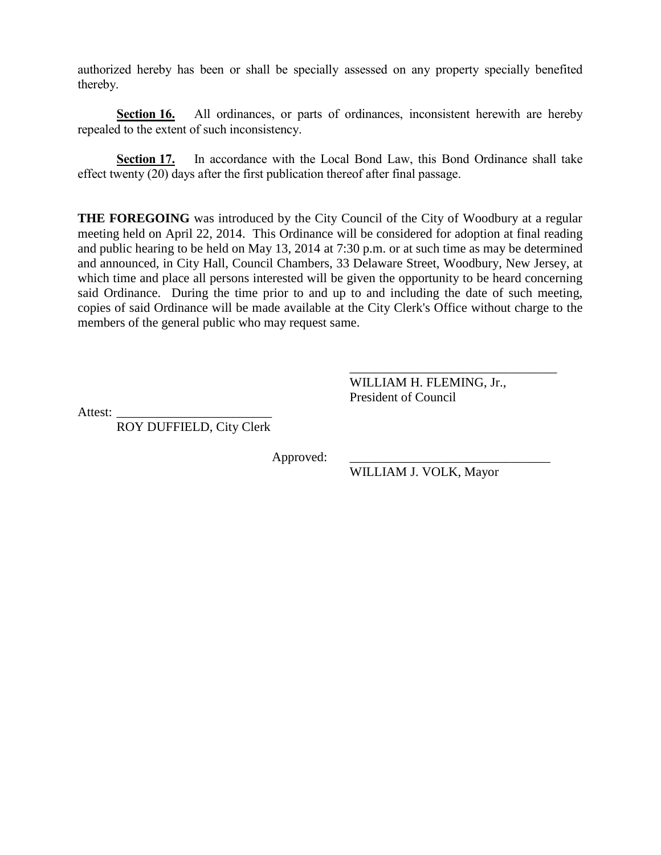authorized hereby has been or shall be specially assessed on any property specially benefited thereby.

**Section 16.** All ordinances, or parts of ordinances, inconsistent herewith are hereby repealed to the extent of such inconsistency.

**Section 17.** In accordance with the Local Bond Law, this Bond Ordinance shall take effect twenty (20) days after the first publication thereof after final passage.

**THE FOREGOING** was introduced by the City Council of the City of Woodbury at a regular meeting held on April 22, 2014. This Ordinance will be considered for adoption at final reading and public hearing to be held on May 13, 2014 at 7:30 p.m. or at such time as may be determined and announced, in City Hall, Council Chambers, 33 Delaware Street, Woodbury, New Jersey, at which time and place all persons interested will be given the opportunity to be heard concerning said Ordinance. During the time prior to and up to and including the date of such meeting, copies of said Ordinance will be made available at the City Clerk's Office without charge to the members of the general public who may request same.

> WILLIAM H. FLEMING, Jr., President of Council

\_\_\_\_\_\_\_\_\_\_\_\_\_\_\_\_\_\_\_\_\_\_\_\_\_\_\_\_\_\_\_\_

Attest:

ROY DUFFIELD, City Clerk

Approved:

WILLIAM J. VOLK, Mayor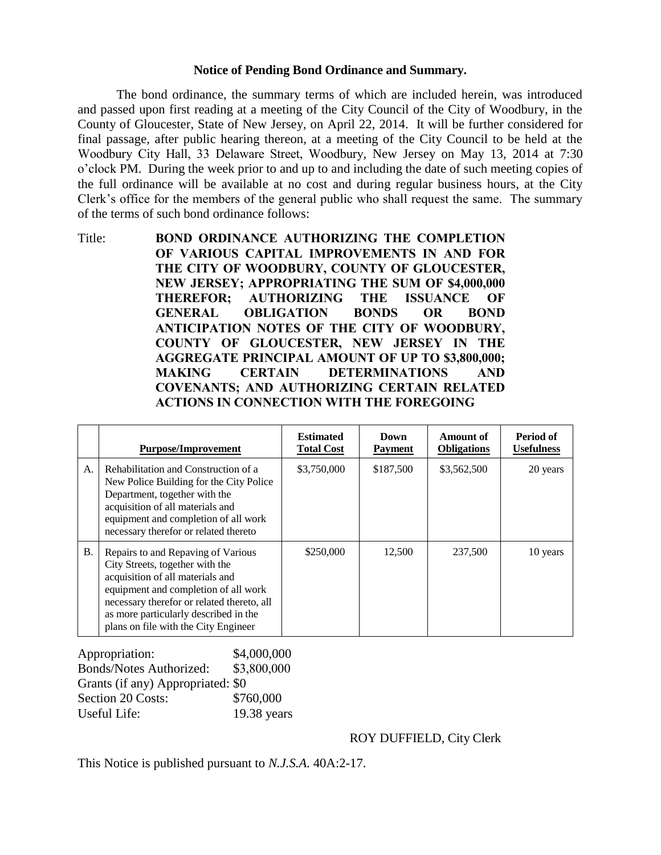#### **Notice of Pending Bond Ordinance and Summary.**

The bond ordinance, the summary terms of which are included herein, was introduced and passed upon first reading at a meeting of the City Council of the City of Woodbury, in the County of Gloucester, State of New Jersey, on April 22, 2014. It will be further considered for final passage, after public hearing thereon, at a meeting of the City Council to be held at the Woodbury City Hall, 33 Delaware Street, Woodbury, New Jersey on May 13, 2014 at 7:30 o'clock PM. During the week prior to and up to and including the date of such meeting copies of the full ordinance will be available at no cost and during regular business hours, at the City Clerk's office for the members of the general public who shall request the same. The summary of the terms of such bond ordinance follows:

Title: **BOND ORDINANCE AUTHORIZING THE COMPLETION OF VARIOUS CAPITAL IMPROVEMENTS IN AND FOR THE CITY OF WOODBURY, COUNTY OF GLOUCESTER, NEW JERSEY; APPROPRIATING THE SUM OF \$4,000,000 THEREFOR; AUTHORIZING THE ISSUANCE OF GENERAL OBLIGATION BONDS OR BOND ANTICIPATION NOTES OF THE CITY OF WOODBURY, COUNTY OF GLOUCESTER, NEW JERSEY IN THE AGGREGATE PRINCIPAL AMOUNT OF UP TO \$3,800,000; MAKING CERTAIN DETERMINATIONS AND COVENANTS; AND AUTHORIZING CERTAIN RELATED ACTIONS IN CONNECTION WITH THE FOREGOING**

|           | <b>Purpose/Improvement</b>                                                                                                                                                                                                                                                       | <b>Estimated</b><br><b>Total Cost</b> | Down<br><b>Payment</b> | Amount of<br><b>Obligations</b> | Period of<br><b>Usefulness</b> |
|-----------|----------------------------------------------------------------------------------------------------------------------------------------------------------------------------------------------------------------------------------------------------------------------------------|---------------------------------------|------------------------|---------------------------------|--------------------------------|
| А.        | Rehabilitation and Construction of a<br>New Police Building for the City Police<br>Department, together with the<br>acquisition of all materials and<br>equipment and completion of all work<br>necessary therefor or related thereto                                            | \$3,750,000                           | \$187,500              | \$3,562,500                     | 20 years                       |
| <b>B.</b> | Repairs to and Repaving of Various<br>City Streets, together with the<br>acquisition of all materials and<br>equipment and completion of all work<br>necessary therefor or related thereto, all<br>as more particularly described in the<br>plans on file with the City Engineer | \$250,000                             | 12,500                 | 237,500                         | 10 years                       |

| Appropriation:                    | \$4,000,000 |
|-----------------------------------|-------------|
| Bonds/Notes Authorized:           | \$3,800,000 |
| Grants (if any) Appropriated: \$0 |             |
| Section 20 Costs:                 | \$760,000   |
| Useful Life:                      | 19.38 years |

## ROY DUFFIELD, City Clerk

This Notice is published pursuant to *N.J.S.A.* 40A:2-17.